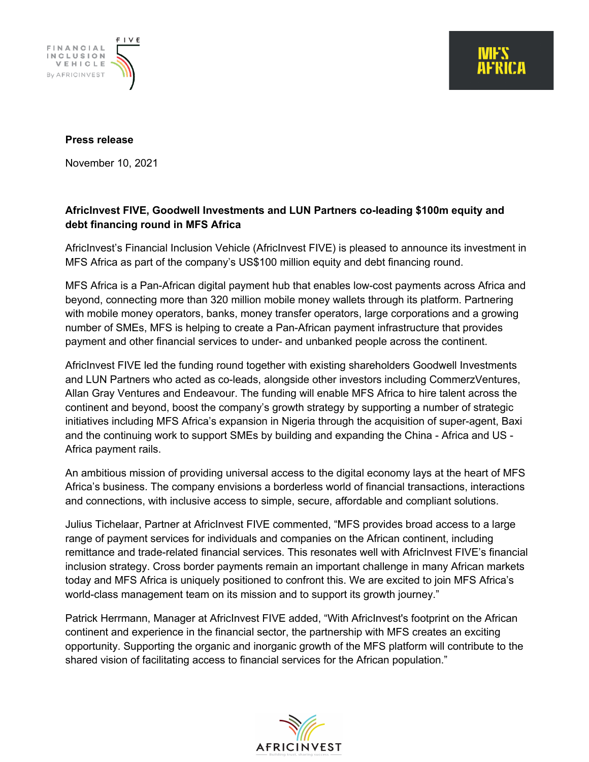

#### **Press release**

November 10, 2021

## **AfricInvest FIVE, Goodwell Investments and LUN Partners co-leading \$100m equity and debt financing round in MFS Africa**

AfricInvest's Financial Inclusion Vehicle (AfricInvest FIVE) is pleased to announce its investment in MFS Africa as part of the company's US\$100 million equity and debt financing round.

MFS Africa is a Pan-African digital payment hub that enables low-cost payments across Africa and beyond, connecting more than 320 million mobile money wallets through its platform. Partnering with mobile money operators, banks, money transfer operators, large corporations and a growing number of SMEs, MFS is helping to create a Pan-African payment infrastructure that provides payment and other financial services to under- and unbanked people across the continent.

AfricInvest FIVE led the funding round together with existing shareholders Goodwell Investments and LUN Partners who acted as co-leads, alongside other investors including CommerzVentures, Allan Gray Ventures and Endeavour. The funding will enable MFS Africa to hire talent across the continent and beyond, boost the company's growth strategy by supporting a number of strategic initiatives including MFS Africa's expansion in Nigeria through the acquisition of super-agent, Baxi and the continuing work to support SMEs by building and expanding the China - Africa and US - Africa payment rails.

An ambitious mission of providing universal access to the digital economy lays at the heart of MFS Africa's business. The company envisions a borderless world of financial transactions, interactions and connections, with inclusive access to simple, secure, affordable and compliant solutions.

Julius Tichelaar, Partner at AfricInvest FIVE commented, "MFS provides broad access to a large range of payment services for individuals and companies on the African continent, including remittance and trade-related financial services. This resonates well with AfricInvest FIVE's financial inclusion strategy. Cross border payments remain an important challenge in many African markets today and MFS Africa is uniquely positioned to confront this. We are excited to join MFS Africa's world-class management team on its mission and to support its growth journey."

Patrick Herrmann, Manager at AfricInvest FIVE added, "With AfricInvest's footprint on the African continent and experience in the financial sector, the partnership with MFS creates an exciting opportunity. Supporting the organic and inorganic growth of the MFS platform will contribute to the shared vision of facilitating access to financial services for the African population."

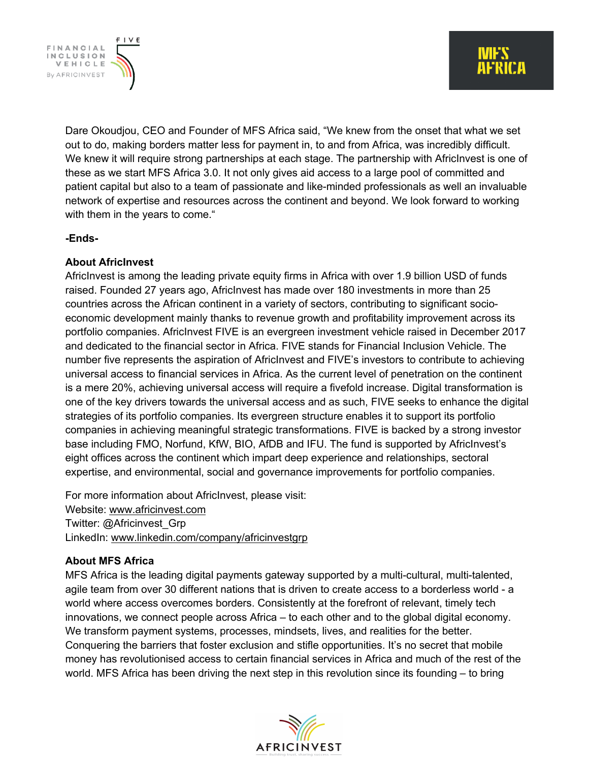FINANCIAL INCLUSION VEHICLE By AFRICINVEST

> Dare Okoudjou, CEO and Founder of MFS Africa said, "We knew from the onset that what we set out to do, making borders matter less for payment in, to and from Africa, was incredibly difficult. We knew it will require strong partnerships at each stage. The partnership with AfricInvest is one of these as we start MFS Africa 3.0. It not only gives aid access to a large pool of committed and patient capital but also to a team of passionate and like-minded professionals as well an invaluable network of expertise and resources across the continent and beyond. We look forward to working with them in the years to come."

### **-Ends-**

### **About AfricInvest**

AfricInvest is among the leading private equity firms in Africa with over 1.9 billion USD of funds raised. Founded 27 years ago, AfricInvest has made over 180 investments in more than 25 countries across the African continent in a variety of sectors, contributing to significant socioeconomic development mainly thanks to revenue growth and profitability improvement across its portfolio companies. AfricInvest FIVE is an evergreen investment vehicle raised in December 2017 and dedicated to the financial sector in Africa. FIVE stands for Financial Inclusion Vehicle. The number five represents the aspiration of AfricInvest and FIVE's investors to contribute to achieving universal access to financial services in Africa. As the current level of penetration on the continent is a mere 20%, achieving universal access will require a fivefold increase. Digital transformation is one of the key drivers towards the universal access and as such, FIVE seeks to enhance the digital strategies of its portfolio companies. Its evergreen structure enables it to support its portfolio companies in achieving meaningful strategic transformations. FIVE is backed by a strong investor base including FMO, Norfund, KfW, BIO, AfDB and IFU. The fund is supported by AfricInvest's eight offices across the continent which impart deep experience and relationships, sectoral expertise, and environmental, social and governance improvements for portfolio companies.

For more information about AfricInvest, please visit: Website: www.africinvest.com Twitter: @Africinvest\_Grp LinkedIn: www.linkedin.com/company/africinvestgrp

# **About MFS Africa**

MFS Africa is the leading digital payments gateway supported by a multi-cultural, multi-talented, agile team from over 30 different nations that is driven to create access to a borderless world - a world where access overcomes borders. Consistently at the forefront of relevant, timely tech innovations, we connect people across Africa – to each other and to the global digital economy. We transform payment systems, processes, mindsets, lives, and realities for the better. Conquering the barriers that foster exclusion and stifle opportunities. It's no secret that mobile money has revolutionised access to certain financial services in Africa and much of the rest of the world. MFS Africa has been driving the next step in this revolution since its founding – to bring